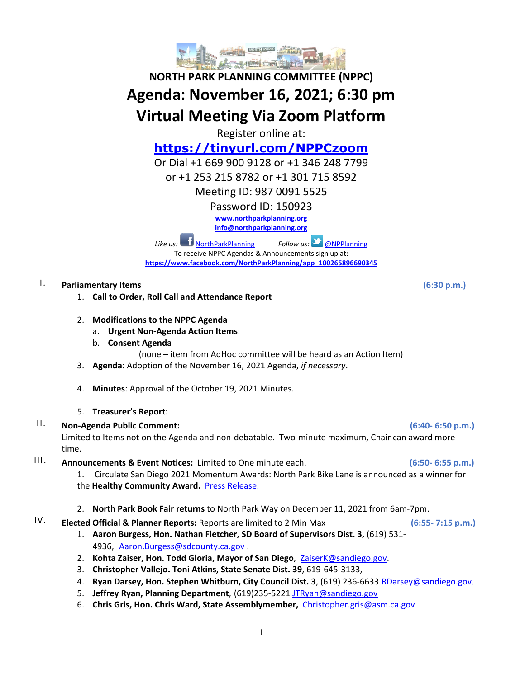

# **NORTH PARK PLANNING COMMITTEE (NPPC) Agenda: November 16, 2021; 6:30 pm Virtual Meeting Via Zoom Platform**

Register online at:

## **<https://tinyurl.com/NPPCzoom>**

Or Dial +1 669 900 9128 or +1 346 248 7799

or +1 253 215 8782 or +1 301 715 8592

Meeting ID: 987 0091 5525

Password ID: 150923

**[www.northparkplanning.org](http://www.northparkplanning.org/)**

**[info@northparkplanning.org](mailto:info@northparkplanning.org)**

*Like us:* [NorthParkPlanning](http://www.facebook.com/NorthParkPlanning) *Follow us:* **O**NPPlanning To receive NPPC Agendas & Announcements sign up at: **[https://www.facebook.com/NorthParkPlanning/app\\_100265896690345](https://www.facebook.com/NorthParkPlanning/app_100265896690345)**

## I. **Parliamentary Items (6:30 p.m.)**

- 1. **Call to Order, Roll Call and Attendance Report**
- 2. **Modifications to the NPPC Agenda**
	- a. **Urgent Non-Agenda Action Items**:
	- b. **Consent Agenda**
		- (none item from AdHoc committee will be heard as an Action Item)
- 3. **Agenda**: Adoption of the November 16, 2021 Agenda, *if necessary*.
- 4. **Minutes**: Approval of the October 19, 2021 Minutes.
- 5. **Treasurer's Report**:
- II. **Non-Agenda Public Comment: (6:40- 6:50 p.m.)**

Limited to Items not on the Agenda and non-debatable. Two-minute maximum, Chair can award more time.

- III. **Announcements & Event Notices:** Limited to One minute each. **(6:50- 6:55 p.m.)**
	- 1. Circulate San Diego 2021 Momentum Awards: North Park Bike Lane is announced as a winner for the **Healthy Community Award.** [Press Release.](https://www.circulatesd.org/press_release_circulate_san_diego_announces_2021_momentum_award_winners)
	- 2. **North Park Book Fair returns** to North Park Way on December 11, 2021 from 6am-7pm.

## IV. **Elected Official & Planner Reports:** Reports are limited to 2 Min Max **(6:55- 7:15 p.m.)**

- 1. **Aaron Burgess, Hon. Nathan Fletcher, SD Board of Supervisors Dist. 3,** (619) 531- 4936, [Aaron.Burgess@sdcounty.ca.gov](mailto:Aaron.Burgess@sdcounty.ca.gov) .
- 2. **Kohta Zaiser, Hon. Todd Gloria, Mayor of San Diego**, ZaiserK@sandiego.gov.
- 3. **Christopher Vallejo. Toni Atkins, State Senate Dist. 39**, 619-645-3133,
- 4. **Ryan Darsey, Hon. Stephen Whitburn, City Council Dist. 3**, (619) 236-6633 RDarsey@sandiego.gov.
- 5. **Jeffrey Ryan, Planning Department**, (619)235-5221 [JTRyan@sandiego.gov](mailto:JTRyan@sandiego.gov)
- 6. **Chris Gris, Hon. Chris Ward, State Assemblymember,** [Christopher.gris@asm.ca.gov](mailto:Christopher.gris@asm.ca.gov)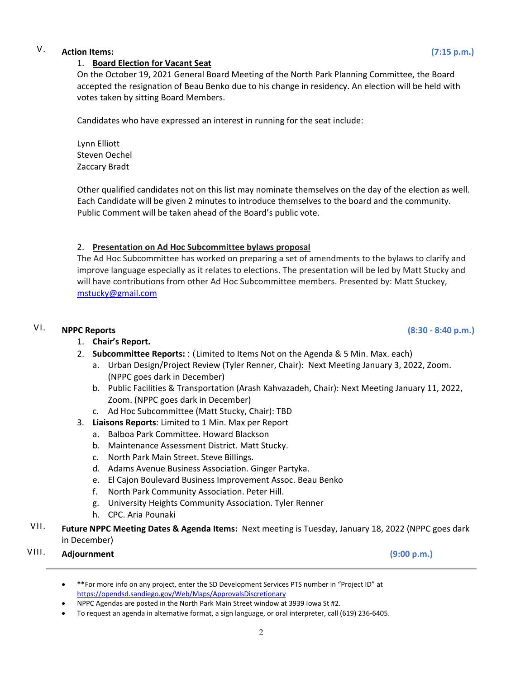## V. **Action Items: (7:15 p.m.)**

#### 1. **Board Election for Vacant Seat**

On the October 19, 2021 General Board Meeting of the North Park Planning Committee, the Board accepted the resignation of Beau Benko due to his change in residency. An election will be held with votes taken by sitting Board Members.

Candidates who have expressed an interest in running for the seat include:

Lynn Elliott Steven Oechel Zaccary Bradt

Other qualified candidates not on this list may nominate themselves on the day of the election as well. Each Candidate will be given 2 minutes to introduce themselves to the board and the community. Public Comment will be taken ahead of the Board's public vote.

#### 2. **Presentation on Ad Hoc Subcommittee bylaws proposal**

The Ad Hoc Subcommittee has worked on preparing a set of amendments to the bylaws to clarify and improve language especially as it relates to elections. The presentation will be led by Matt Stucky and will have contributions from other Ad Hoc Subcommittee members. Presented by: Matt Stuckey, [mstucky@gmail.com](mailto:mstucky@gmail.com)

### VI. **NPPC Reports (8:30 - 8:40 p.m.)**

#### 1. **Chair's Report.**

- 2. **Subcommittee Reports:** : (Limited to Items Not on the Agenda & 5 Min. Max. each)
	- a. Urban Design/Project Review (Tyler Renner, Chair): Next Meeting January 3, 2022, Zoom. (NPPC goes dark in December)
	- b. Public Facilities & Transportation (Arash Kahvazadeh, Chair): Next Meeting January 11, 2022, Zoom. (NPPC goes dark in December)
	- c. Ad Hoc Subcommittee (Matt Stucky, Chair): TBD
- 3. **Liaisons Reports**: Limited to 1 Min. Max per Report
	- a. Balboa Park Committee. Howard Blackson
	- b. Maintenance Assessment District. Matt Stucky.
	- c. North Park Main Street. Steve Billings.
	- d. Adams Avenue Business Association. Ginger Partyka.
	- e. El Cajon Boulevard Business Improvement Assoc. Beau Benko
	- f. North Park Community Association. Peter Hill.
	- g. University Heights Community Association. Tyler Renner
	- h. CPC. Aria Pounaki
- VII. **Future NPPC Meeting Dates & Agenda Items:** Next meeting is Tuesday, January 18, 2022 (NPPC goes dark in December)

## VIII. **Adjournment (9:00 p.m.)**

• **\*\***For more info on any project, enter the SD Development Services PTS number in "Project ID" at <https://opendsd.sandiego.gov/Web/Maps/ApprovalsDiscretionary>

<sup>•</sup> NPPC Agendas are posted in the North Park Main Street window at 3939 Iowa St #2.

<sup>•</sup> To request an agenda in alternative format, a sign language, or oral interpreter, call (619) 236-6405.